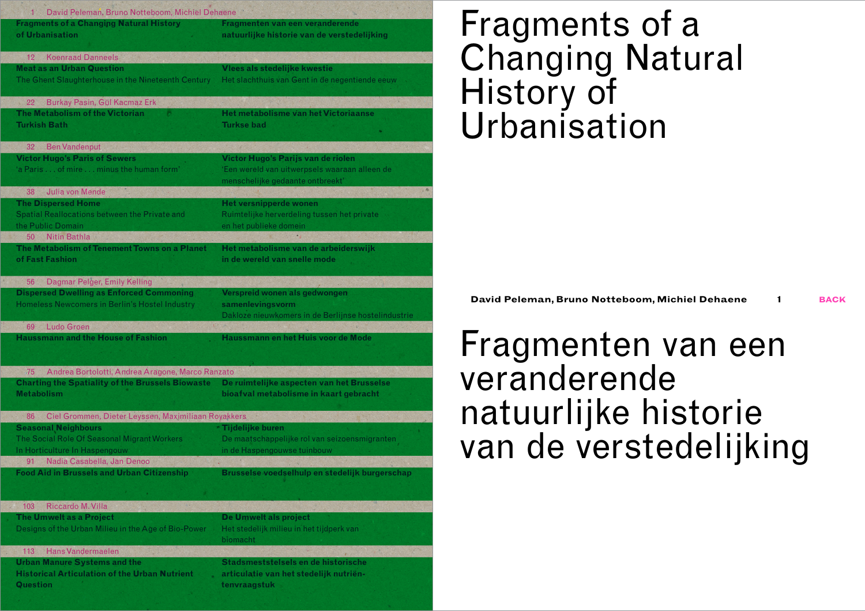| David Peleman, Bruno Notteboom, Michiel Dehaene<br>$1 -$                                                    |                                                                      |
|-------------------------------------------------------------------------------------------------------------|----------------------------------------------------------------------|
| <b>Fragments of a Changing Natural History</b>                                                              | Fragmenten van een veranderende                                      |
| of Urbanisation                                                                                             | natuurlijke historie van de verstedelijking                          |
| <b>Koenraad Danneels</b><br>12                                                                              |                                                                      |
| <b>Meat as an Urban Question</b>                                                                            | Vlees als stedelijke kwestie                                         |
| The Ghent Slaughterhouse in the Nineteenth Century                                                          | Het slachthuis van Gent in de negentiende eeuw                       |
| Burkay Pasin, Gül Kacmaz Erk<br>22                                                                          |                                                                      |
| The Metabolism of the Victorian                                                                             | <b>Het metabolisme van het Victoriaanse</b>                          |
| <b>Turkish Bath</b>                                                                                         | <b>Turkse bad</b>                                                    |
| <b>Ben Vandenput</b><br>32                                                                                  |                                                                      |
| <b>Victor Hugo's Paris of Sewers</b>                                                                        | Victor Hugo's Parijs van de riolen                                   |
| 'a Paris of mire minus the human form'                                                                      | 'Een wereld van uitwerpsels waaraan alleen de                        |
| Julia von Mende<br>38                                                                                       | menschelijke gedaante ontbreekt'<br>$7 - 40$                         |
| <b>The Dispersed Home</b>                                                                                   | <b>Het versnipperde wonen</b>                                        |
| <b>Spatial Reallocations between the Private and</b>                                                        | Ruimtelijke herverdeling tussen het private                          |
| the Public Domain                                                                                           | en het publieke domein                                               |
| <b>Nitin Bathla</b><br>50                                                                                   |                                                                      |
| The Metabolism of Tenement Towns on a Planet<br>of Fast Fashion                                             | Het metabolisme van de arbeiderswijk<br>in de wereld van snelle mode |
|                                                                                                             |                                                                      |
| 56<br>Dagmar Pelger, Emily Kelling                                                                          |                                                                      |
| <b>Dispersed Dwelling as Enforced Commoning</b>                                                             | Verspreid wonen als gedwongen                                        |
|                                                                                                             |                                                                      |
| Homeless Newcomers in Berlin's Hostel Industry                                                              | samenlevingsvorm                                                     |
| Ludo Groen<br>69                                                                                            | Dakloze nieuwkomers in de Berlijnse hostelindustrie                  |
| <b>Haussmann and the House of Fashion</b>                                                                   | Haussmann en het Huis voor de Mode                                   |
|                                                                                                             |                                                                      |
| -75.                                                                                                        |                                                                      |
| Andrea Bortolotti, Andrea Aragone, Marco Ranzato<br><b>Charting the Spatiality of the Brussels Biowaste</b> | De ruimtelijke aspecten van het Brusselse                            |
| <b>Metabolism</b>                                                                                           | bioafval metabolisme in kaart gebracht                               |
| 86                                                                                                          |                                                                      |
| Ciel Grommen, Dieter Leyssen, Maximiliaan Royakkers<br><b>Seasonal Neighbours</b>                           | Tijdelijke buren                                                     |
| The Social Role Of Seasonal Migrant Workers                                                                 | De maatschappelijke rol van seizoensmigranten                        |
| In Horticulture In Haspengouw                                                                               | in de Haspengouwse tuinbouw                                          |
| Nadia Casabella, Jan Denoo<br>91                                                                            |                                                                      |
| <b>Food Aid in Brussels and Urban Citizenship</b>                                                           | Brusselse voedselhulp en stedelijk burgerschap                       |
|                                                                                                             |                                                                      |
| Riccardo M. Villa<br>103                                                                                    |                                                                      |
| The Umwelt as a Project                                                                                     | De Umwelt als project                                                |
| Designs of the Urban Milieu in the Age of Bio-Power                                                         | Het stedelijk milieu in het tijdperk van<br>biomacht                 |
| Hans Vandermaelen<br>113                                                                                    |                                                                      |
| <b>Urban Manure Systems and the</b>                                                                         | Stadsmeststelsels en de historische                                  |
| <b>Historical Articulation of the Urban Nutrient</b><br><b>Question</b>                                     | articulatie van het stedelijk nutriën-<br>tenvraagstuk               |

# Fragments of a Changing Natural History of Urbanisation

**David Peleman, Bruno Notteboom, Michiel Dehaene 1 back**

## Fragmenten van een veranderende natuurlijke historie van de verstedelijking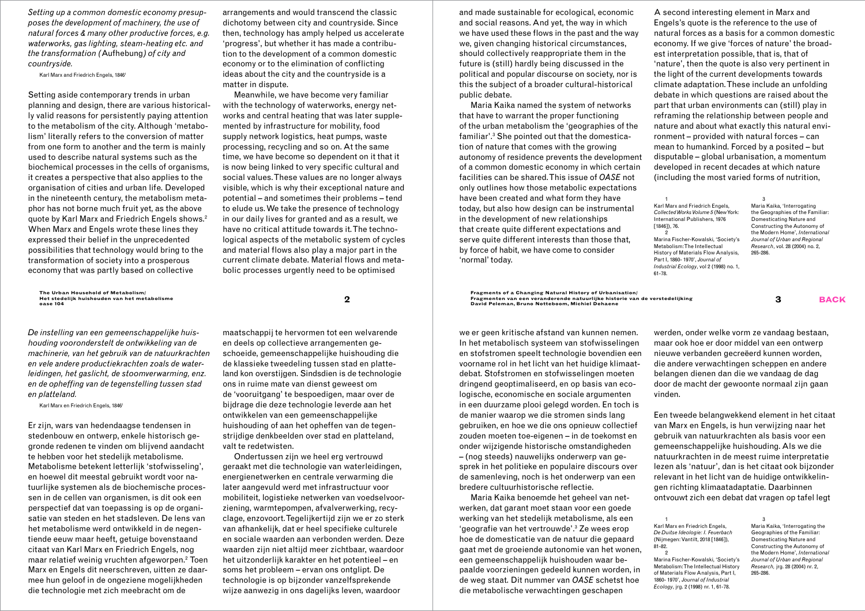*Setting up a common domestic economy presupposes the development of machinery, the use of natural forces & many other productive forces, e.g. waterworks, gas lighting, steam-heating etc. and the transformation (*Aufhebung*) of city and countryside.*

Karl Marx and Friedrich Engels, 1846<sup>1</sup>

Setting aside contemporary trends in urban planning and design, there are various historically valid reasons for persistently paying attention to the metabolism of the city. Although 'metabolism' literally refers to the conversion of matter from one form to another and the term is mainly used to describe natural systems such as the biochemical processes in the cells of organisms, it creates a perspective that also applies to the organisation of cities and urban life. Developed in the nineteenth century, the metabolism metaphor has not borne much fruit yet, as the above quote by Karl Marx and Friedrich Engels shows.2 When Marx and Engels wrote these lines they expressed their belief in the unprecedented possibilities that technology would bring to the transformation of society into a prosperous economy that was partly based on collective

**The Urban Household of Metabolism/ Het stedelijk huishouden van het metabolisme**

*De instelling van een gemeenschappelijke huishouding vooronderstelt de ontwikkeling van de machinerie, van het gebruik van de natuurkrachten en vele andere productiekrachten zoals de waterleidingen, het gaslicht, de stoomverwarming, enz. en de opheffing van de tegenstelling tussen stad en platteland.*

Karl Marx en Friedrich Engels, 1846<sup>1</sup>

Er zijn, wars van hedendaagse tendensen in stedenbouw en ontwerp, enkele historisch gegronde redenen te vinden om blijvend aandacht te hebben voor het stedelijk metabolisme. Metabolisme betekent letterlijk 'stofwisseling', en hoewel dit meestal gebruikt wordt voor natuurlijke systemen als de biochemische processen in de cellen van organismen, is dit ook een perspectief dat van toepassing is op de organisatie van steden en het stadsleven. De lens van het metabolisme werd ontwikkeld in de negentiende eeuw maar heeft, getuige bovenstaand citaat van Karl Marx en Friedrich Engels, nog maar relatief weinig vruchten afgeworpen.2 Toen Marx en Engels dit neerschreven, uitten ze daarmee hun geloof in de ongeziene mogelijkheden die technologie met zich meebracht om de

arrangements and would transcend the classic dichotomy between city and countryside. Since then, technology has amply helped us accelerate 'progress', but whether it has made a contribution to the development of a common domestic economy or to the elimination of conflicting ideas about the city and the countryside is a matter in dispute.

Meanwhile, we have become very familiar with the technology of waterworks, energy networks and central heating that was later supplemented by infrastructure for mobility, food supply network logistics, heat pumps, waste processing, recycling and so on. At the same time, we have become so dependent on it that it is now being linked to very specific cultural and social values. These values are no longer always visible, which is why their exceptional nature and potential – and sometimes their problems – tend to elude us. We take the presence of technology in our daily lives for granted and as a result, we have no critical attitude towards it. The technological aspects of the metabolic system of cycles and material flows also play a major part in the current climate debate. Material flows and metabolic processes urgently need to be optimised

and made sustainable for ecological, economic and social reasons. And yet, the way in which we have used these flows in the past and the way we, given changing historical circumstances, should collectively reappropriate them in the future is (still) hardly being discussed in the political and popular discourse on society, nor is this the subject of a broader cultural-historical public debate.

Maria Kaika named the system of networks that have to warrant the proper functioning of the urban metabolism the 'geographies of the familiar'.3 She pointed out that the domestication of nature that comes with the growing autonomy of residence prevents the development of a common domestic economy in which certain facilities can be shared. This issue of *OASE* not only outlines how those metabolic expectations have been created and what form they have today, but also how design can be instrumental in the development of new relationships that create quite different expectations and serve quite different interests than those that, by force of habit, we have come to consider 'normal' today.

A second interesting element in Marx and Engels's quote is the reference to the use of natural forces as a basis for a common domestic economy. If we give 'forces of nature' the broadest interpretation possible, that is, that of 'nature', then the quote is also very pertinent in the light of the current developments towards climate adaptation. These include an unfolding debate in which questions are raised about the part that urban environments can (still) play in reframing the relationship between people and nature and about what exactly this natural environment – provided with natural forces – can mean to humankind. Forced by a posited – but disputable – global urbanisation, a momentum developed in recent decades at which nature (including the most varied forms of nutrition,

1 Karl Marx and Friedrich Engels, *Collected Works Volume 5* (New York: International Publishers, 1976 [1846]), 76.  $\overline{2}$ Marina Fischer-Kowalski, 'Society's Metabolism: The Intellectual History of Materials Flow Analysis, Part I, 1860- 1970', *Journal of Industrial Ecology*, vol 2 (1998) no. 1, 61-78.

3 Maria Kaika, 'Interrogating the Geographies of the Familiar: Domesticating Nature and Constructing the Autonomy of the Modern Home', *International Journal of Urban and Regional Research*, vol. 28 (2004) no. 2, 265-286.

The Urban Household of Metabolism/<br> **Pragments of a Changing Natural History of Urbanisation/ of Urbanisation/ a** Fragmenten van een veranderende natuurlijke historie van de verstedelijking and the street of the street of **David Peleman, Bruno Notteboom, Michiel Dehaene** 

> we er geen kritische afstand van kunnen nemen. In het metabolisch systeem van stofwisselingen en stofstromen speelt technologie bovendien een voorname rol in het licht van het huidige klimaatdebat. Stofstromen en stofwisselingen moeten dringend geoptimaliseerd, en op basis van ecologische, economische en sociale argumenten in een duurzame plooi gelegd worden. En toch is de manier waarop we die stromen sinds lang gebruiken, en hoe we die ons opnieuw collectief zouden moeten toe-eigenen – in de toekomst en onder wijzigende historische omstandigheden – (nog steeds) nauwelijks onderwerp van gesprek in het politieke en populaire discours over de samenleving, noch is het onderwerp van een bredere cultuurhistorische reflectie.

> Maria Kaika benoemde het geheel van netwerken, dat garant moet staan voor een goede werking van het stedelijk metabolisme, als een 'geografie van het vertrouwde'.3 Ze wees erop hoe de domesticatie van de natuur die gepaard gaat met de groeiende autonomie van het wonen, een gemeenschappelijk huishouden waar bepaalde voorzieningen gedeeld kunnen worden, in de weg staat. Dit nummer van *OASE* schetst hoe die metabolische verwachtingen geschapen

werden, onder welke vorm ze vandaag bestaan, maar ook hoe er door middel van een ontwerp nieuwe verbanden gecreëerd kunnen worden, die andere verwachtingen scheppen en andere belangen dienen dan die we vandaag de dag door de macht der gewoonte normaal zijn gaan vinden.

Een tweede belangwekkend element in het citaat van Marx en Engels, is hun verwijzing naar het gebruik van natuurkrachten als basis voor een gemeenschappelijke huishouding. Als we die natuurkrachten in de meest ruime interpretatie lezen als 'natuur', dan is het citaat ook bijzonder relevant in het licht van de huidige ontwikkelingen richting klimaatadaptatie. Daarbinnen ontvouwt zich een debat dat vragen op tafel legt

1 Karl Marx en Friedrich Engels, *De Duitse Ideologie: I. Feuerbach*  (Nijmegen: Vantilt, 2018 [1846]), 81-82.  $\overline{2}$ 

Marina Fischer-Kowalski, 'Society's Metabolism: The Intellectual History of Materials Flow Analysis, Part I, 1860- 1970', *Journal of Industrial Ecology*, jrg. 2 (1998) nr. 1, 61-78.

3 Maria Kaika, 'Interrogating the Geographies of the Familiar: Domesticating Nature and Constructing the Autonomy of the Modern Home', *International Journal of Urban and Regional Research,* jrg. 28 (2004) nr. 2, 265-286.

maatschappij te hervormen tot een welvarende en deels op collectieve arrangementen geschoeide, gemeenschappelijke huishouding die de klassieke tweedeling tussen stad en platteland kon overstijgen. Sindsdien is de technologie ons in ruime mate van dienst geweest om de 'vooruitgang' te bespoedigen, maar over de bijdrage die deze technologie leverde aan het ontwikkelen van een gemeenschappelijke huishouding of aan het opheffen van de tegenstrijdige denkbeelden over stad en platteland, valt te redetwisten.

Ondertussen zijn we heel erg vertrouwd geraakt met die technologie van waterleidingen, energienetwerken en centrale verwarming die later aangevuld werd met infrastructuur voor mobiliteit, logistieke netwerken van voedselvoorziening, warmtepompen, afvalverwerking, recyclage, enzovoort. Tegelijkertijd zijn we er zo sterk van afhankelijk, dat er heel specifieke culturele en sociale waarden aan verbonden werden. Deze waarden zijn niet altijd meer zichtbaar, waardoor het uitzonderlijk karakter en het potentieel – en soms het probleem – ervan ons ontglipt. De technologie is op bijzonder vanzelfsprekende wijze aanwezig in ons dagelijks leven, waardoor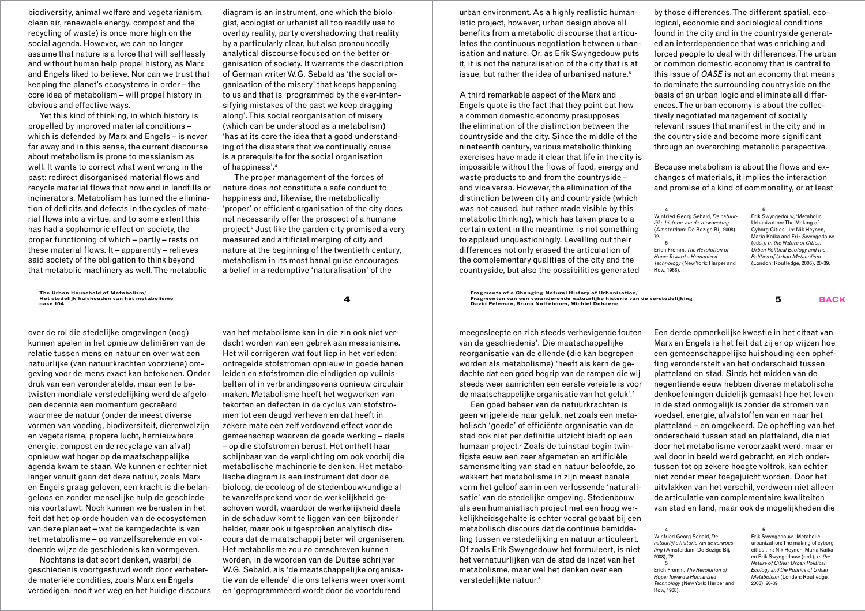biodiversity, animal welfare and vegetarianism, clean air, renewable energy, compost and the recycling of waste) is once more high on the social agenda. However, we can no longer assume that nature is a force that will selflessly and without human help propel history, as Marx and Engels liked to believe. Nor can we trust that keeping the planet's ecosystems in order – the core idea of metabolism – will propel history in obvious and effective ways.

Yet this kind of thinking, in which history is propelled by improved material conditions – which is defended by Marx and Engels – is never far away and in this sense, the current discourse about metabolism is prone to messianism as well. It wants to correct what went wrong in the past: redirect disorganised material flows and recycle material flows that now end in landfills or incinerators. Metabolism has turned the elimination of deficits and defects in the cycles of material flows into a virtue, and to some extent this has had a sophomoric effect on society, the proper functioning of which – partly – rests on these material flows. It – apparently – relieves said society of the obligation to think beyond that metabolic machinery as well. The metabolic

**The Urban Household of Metabolism/ Het stedelijk huishouden van het metabolisme**

over de rol die stedelijke omgevingen (nog) kunnen spelen in het opnieuw definiëren van de relatie tussen mens en natuur en over wat een natuurlijke (van natuurkrachten voorziene) omgeving voor de mens exact kan betekenen. Onder druk van een veronderstelde, maar een te betwisten mondiale verstedelijking werd de afgelopen decennia een momentum gecreëerd waarmee de natuur (onder de meest diverse vormen van voeding, biodiversiteit, dierenwelzijn en vegetarisme, propere lucht, hernieuwbare energie, compost en de recyclage van afval) opnieuw wat hoger op de maatschappelijke agenda kwam te staan. We kunnen er echter niet langer vanuit gaan dat deze natuur, zoals Marx en Engels graag geloven, een kracht is die belangeloos en zonder menselijke hulp de geschiedenis voortstuwt. Noch kunnen we berusten in het feit dat het op orde houden van de ecosystemen van deze planeet – wat de kerngedachte is van het metabolisme – op vanzelfsprekende en voldoende wijze de geschiedenis kan vormgeven.

Nochtans is dat soort denken, waarbij de geschiedenis voortgestuwd wordt door verbeterde materiële condities, zoals Marx en Engels verdedigen, nooit ver weg en het huidige discours

diagram is an instrument, one which the biologist, ecologist or urbanist all too readily use to overlay reality, party overshadowing that reality by a particularly clear, but also pronouncedly analytical discourse focused on the better organisation of society. It warrants the description of German writer W.G. Sebald as 'the social organisation of the misery' that keeps happening to us and that is 'programmed by the ever-intensifying mistakes of the past we keep dragging along'. This social reorganisation of misery (which can be understood as a metabolism) 'has at its core the idea that a good understanding of the disasters that we continually cause is a prerequisite for the social organisation of happiness'.4

The proper management of the forces of nature does not constitute a safe conduct to happiness and, likewise, the metabolically 'proper' or efficient organisation of the city does not necessarily offer the prospect of a humane project.5 Just like the garden city promised a very measured and artificial merging of city and nature at the beginning of the twentieth century, metabolism in its most banal guise encourages a belief in a redemptive 'naturalisation' of the

urban environment. As a highly realistic humanistic project, however, urban design above all benefits from a metabolic discourse that articulates the continuous negotiation between urbanisation and nature. Or, as Erik Swyngedouw puts it, it is not the naturalisation of the city that is at issue, but rather the idea of urbanised nature.<sup>6</sup>

A third remarkable aspect of the Marx and Engels quote is the fact that they point out how a common domestic economy presupposes the elimination of the distinction between the countryside and the city. Since the middle of the nineteenth century, various metabolic thinking exercises have made it clear that life in the city is impossible without the flows of food, energy and waste products to and from the countryside – and vice versa. However, the elimination of the distinction between city and countryside (which was not caused, but rather made visible by this metabolic thinking), which has taken place to a certain extent in the meantime, is not something to applaud unquestioningly. Levelling out their differences not only erased the articulation of the complementary qualities of the city and the countryside, but also the possibilities generated

by those differences. The different spatial, ecological, economic and sociological conditions found in the city and in the countryside generated an interdependence that was enriching and forced people to deal with differences. The urban or common domestic economy that is central to this issue of *OASE* is not an economy that means to dominate the surrounding countryside on the basis of an urban logic and eliminate all differences. The urban economy is about the collectively negotiated management of socially relevant issues that manifest in the city and in the countryside and become more significant through an overarching metabolic perspective.

Because metabolism is about the flows and exchanges of materials, it implies the interaction and promise of a kind of commonality, or at least

4 Winfried Georg Sebald, *De natuurlijke historie van de verwoesting* (Amsterdam: De Bezige Bij, 2008), 72. 5 Erich Fromm, *The Revolution of Hope: Toward a Humanized Technology* (New York: Harper and Row, 1968).

6 Erik Swyngedouw, 'Metabolic Urbanization: The Making of Cyborg Cities', in: Nik Heynen, Maria Kaika and Erik Swyngedouw (eds.), *In the Nature of Cities: Urban Political Ecology and the Politics of Urban Metabolism* (London: Routledge, 2006), 20-39.

**<sup>4</sup> Fragments of a Changing Natural History of Urbanisation/ Fragmenten van een veranderende natuurlijke historie van de verstedelijking oase 104 5 backDavid Peleman, Bruno Notteboom, Michiel Dehaene** 

> meegesleepte en zich steeds verhevigende fouten van de geschiedenis'. Die maatschappelijke reorganisatie van de ellende (die kan begrepen worden als metabolisme) 'heeft als kern de gedachte dat een goed begrip van de rampen die wij steeds weer aanrichten een eerste vereiste is voor de maatschappelijke organisatie van het geluk'.4

> Een goed beheer van de natuurkrachten is geen vrijgeleide naar geluk, net zoals een metabolisch 'goede' of efficiënte organisatie van de stad ook niet per definitie uitzicht biedt op een humaan project.<sup>5</sup> Zoals de tuinstad begin twintigste eeuw een zeer afgemeten en artificiële samensmelting van stad en natuur beloofde, zo wakkert het metabolisme in zijn meest banale vorm het geloof aan in een verlossende 'naturalisatie' van de stedelijke omgeving. Stedenbouw als een humanistisch project met een hoog werkelijkheidsgehalte is echter vooral gebaat bij een metabolisch discours dat de continue bemiddeling tussen verstedelijking en natuur articuleert. Of zoals Erik Swyngedouw het formuleert, is niet het vernatuurlijken van de stad de inzet van het metabolisme, maar wel het denken over een verstedelijkte natuur.6

Een derde opmerkelijke kwestie in het citaat van Marx en Engels is het feit dat zij er op wijzen hoe een gemeenschappelijke huishouding een opheffing veronderstelt van het onderscheid tussen platteland en stad. Sinds het midden van de negentiende eeuw hebben diverse metabolische denkoefeningen duidelijk gemaakt hoe het leven in de stad onmogelijk is zonder de stromen van voedsel, energie, afvalstoffen van en naar het platteland – en omgekeerd. De opheffing van het onderscheid tussen stad en platteland, die niet door het metabolisme veroorzaakt werd, maar er wel door in beeld werd gebracht, en zich ondertussen tot op zekere hoogte voltrok, kan echter niet zonder meer toegejuicht worden. Door het uitvlakken van het verschil, verdween niet alleen de articulatie van complementaire kwaliteiten van stad en land, maar ook de mogelijkheden die

4 Winfried Georg Sebald, *De natuurlijke historie van de verwoesting* (Amsterdam: De Bezige Bij, 2008), 72. 5 Erich Fromm, *The Revolution of Hope: Toward a Humanized Technology* (New York: Harper and

Row, 1968).

Erik Swyngedouw, 'Metabolic urbanization: The making of cyborg cities', in: Nik Heynen, Maria Kaika en Erik Swyngedouw (red.), *In the Nature of Cities: Urban Political Ecology and the Politics of Urban Metabolism* (Londen: Routledge, 2006), 20-39.

6

van het metabolisme kan in die zin ook niet verdacht worden van een gebrek aan messianisme. Het wil corrigeren wat fout liep in het verleden: ontregelde stofstromen opnieuw in goede banen leiden en stofstromen die eindigden op vuilnisbelten of in verbrandingsovens opnieuw circulair maken. Metabolisme heeft het wegwerken van tekorten en defecten in de cyclus van stofstromen tot een deugd verheven en dat heeft in zekere mate een zelf verdovend effect voor de gemeenschap waarvan de goede werking – deels – op die stofstromen berust. Het ontheft haar schijnbaar van de verplichting om ook voorbij die metabolische machinerie te denken. Het metabolische diagram is een instrument dat door de bioloog, de ecoloog of de stedenbouwkundige al te vanzelfsprekend voor de werkelijkheid geschoven wordt, waardoor de werkelijkheid deels in de schaduw komt te liggen van een bijzonder helder, maar ook uitgesproken analytisch discours dat de maatschappij beter wil organiseren. Het metabolisme zou zo omschreven kunnen worden, in de woorden van de Duitse schrijver W.G. Sebald, als 'de maatschappelijke organisatie van de ellende' die ons telkens weer overkomt en 'geprogrammeerd wordt door de voortdurend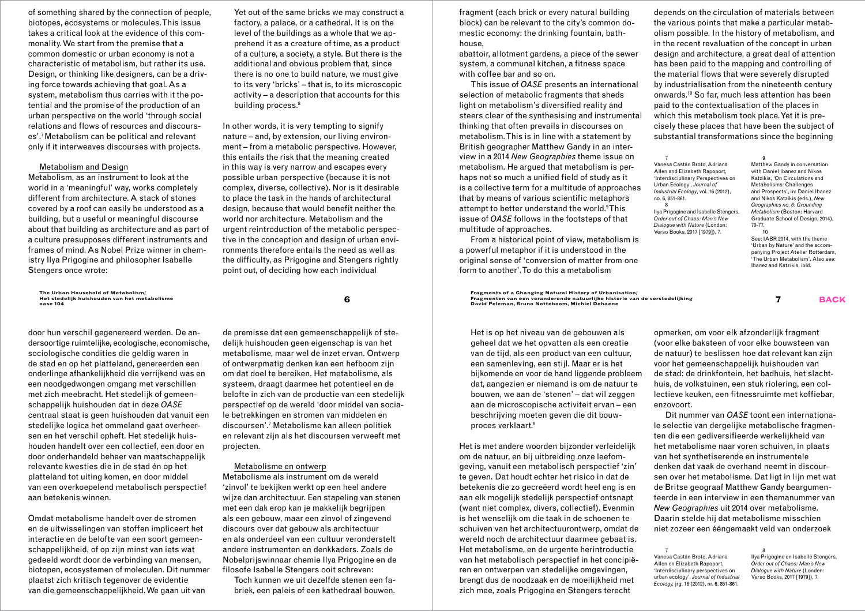of something shared by the connection of people, biotopes, ecosystems or molecules. This issue takes a critical look at the evidence of this commonality. We start from the premise that a common domestic or urban economy is not a characteristic of metabolism, but rather its use. Design, or thinking like designers, can be a driving force towards achieving that goal. As a system, metabolism thus carries with it the potential and the promise of the production of an urban perspective on the world 'through social relations and flows of resources and discourses'.7 Metabolism can be political and relevant only if it interweaves discourses with projects.

### Metabolism and Design

Metabolism, as an instrument to look at the world in a 'meaningful' way, works completely different from architecture. A stack of stones covered by a roof can easily be understood as a building, but a useful or meaningful discourse about that building as architecture and as part of a culture presupposes different instruments and frames of mind. As Nobel Prize winner in chemistry Ilya Prigogine and philosopher Isabelle Stengers once wrote:

#### **The Urban Household of Metabolism/ Het stedelijk huishouden van het metabolisme**

door hun verschil gegenereerd werden. De andersoortige ruimtelijke, ecologische, economische, sociologische condities die geldig waren in de stad en op het platteland, genereerden een onderlinge afhankelijkheid die verrijkend was en een noodgedwongen omgang met verschillen met zich meebracht. Het stedelijk of gemeenschappelijk huishouden dat in deze *OASE* centraal staat is geen huishouden dat vanuit een stedelijke logica het ommeland gaat overheersen en het verschil opheft. Het stedelijk huishouden handelt over een collectief, een door en door onderhandeld beheer van maatschappelijk relevante kwesties die in de stad én op het platteland tot uiting komen, en door middel van een overkoepelend metabolisch perspectief aan betekenis winnen.

Omdat metabolisme handelt over de stromen en de uitwisselingen van stoffen impliceert het interactie en de belofte van een soort gemeenschappelijkheid, of op zijn minst van iets wat gedeeld wordt door de verbinding van mensen, biotopen, ecosystemen of moleculen. Dit nummer plaatst zich kritisch tegenover de evidentie van die gemeenschappelijkheid. We gaan uit van

Yet out of the same bricks we may construct a factory, a palace, or a cathedral. It is on the level of the buildings as a whole that we apprehend it as a creature of time, as a product of a culture, a society, a style. But there is the additional and obvious problem that, since there is no one to build nature, we must give to its very 'bricks' – that is, to its microscopic activity – a description that accounts for this building process.<sup>8</sup>

In other words, it is very tempting to signify nature – and, by extension, our living environment – from a metabolic perspective. However, this entails the risk that the meaning created in this way is very narrow and escapes every possible urban perspective (because it is not complex, diverse, collective). Nor is it desirable to place the task in the hands of architectural design, because that would benefit neither the world nor architecture. Metabolism and the urgent reintroduction of the metabolic perspective in the conception and design of urban environments therefore entails the need as well as the difficulty, as Prigogine and Stengers rightly point out, of deciding how each individual

de premisse dat een gemeenschappelijk of stedelijk huishouden geen eigenschap is van het metabolisme, maar wel de inzet ervan. Ontwerp of ontwerpmatig denken kan een hefboom zijn om dat doel te bereiken. Het metabolisme, als systeem, draagt daarmee het potentieel en de belofte in zich van de productie van een stedelijk perspectief op de wereld 'door middel van sociale betrekkingen en stromen van middelen en discoursen'.7 Metabolisme kan alleen politiek en relevant zijn als het discoursen verweeft met projecten.

### Metabolisme en ontwerp

Metabolisme als instrument om de wereld 'zinvol' te bekijken werkt op een heel andere wijze dan architectuur. Een stapeling van stenen met een dak erop kan je makkelijk begrijpen als een gebouw, maar een zinvol of zingevend discours over dat gebouw als architectuur en als onderdeel van een cultuur veronderstelt andere instrumenten en denkkaders. Zoals de Nobelprijswinnaar chemie Ilya Prigogine en de filosofe Isabelle Stengers ooit schreven:

Toch kunnen we uit dezelfde stenen een fabriek, een paleis of een kathedraal bouwen. fragment (each brick or every natural building block) can be relevant to the city's common domestic economy: the drinking fountain, bathhouse,

abattoir, allotment gardens, a piece of the sewer system, a communal kitchen, a fitness space with coffee bar and so on.

This issue of *OASE* presents an international selection of metabolic fragments that sheds light on metabolism's diversified reality and steers clear of the synthesising and instrumental thinking that often prevails in discourses on metabolism. This is in line with a statement by British geographer Matthew Gandy in an interview in a 2014 *New Geographies* theme issue on metabolism. He argued that metabolism is perhaps not so much a unified field of study as it is a collective term for a multitude of approaches that by means of various scientific metaphors attempt to better understand the world.<sup>9</sup>This issue of *OASE* follows in the footsteps of that multitude of approaches.

From a historical point of view, metabolism is a powerful metaphor if it is understood in the original sense of 'conversion of matter from one form to another'. To do this a metabolism

**<sup>6</sup> Fragments of a Changing Natural History of Urbanisation/ Fragmenten van een veranderende natuurlijke historie van de verstedelijking oase 104 7 backDavid Peleman, Bruno Notteboom, Michiel Dehaene** 

> Het is op het niveau van de gebouwen als geheel dat we het opvatten als een creatie van de tijd, als een product van een cultuur, een samenleving, een stijl. Maar er is het bijkomende en voor de hand liggende probleem dat, aangezien er niemand is om de natuur te bouwen, we aan de 'stenen' – dat wil zeggen aan de microscopische activiteit ervan – een beschrijving moeten geven die dit bouwproces verklaart.8

Het is met andere woorden bijzonder verleidelijk om de natuur, en bij uitbreiding onze leefomgeving, vanuit een metabolisch perspectief 'zin' te geven. Dat houdt echter het risico in dat de betekenis die zo gecreëerd wordt heel eng is en aan elk mogelijk stedelijk perspectief ontsnapt (want niet complex, divers, collectief). Evenmin is het wenselijk om die taak in de schoenen te schuiven van het architectuurontwerp, omdat de wereld noch de architectuur daarmee gebaat is. Het metabolisme, en de urgente herintroductie van het metabolisch perspectief in het concipiëren en ontwerpen van stedelijke omgevingen, brengt dus de noodzaak en de moeilijkheid met zich mee, zoals Prigogine en Stengers terecht

depends on the circulation of materials between the various points that make a particular metabolism possible. In the history of metabolism, and in the recent revaluation of the concept in urban design and architecture, a great deal of attention has been paid to the mapping and controlling of the material flows that were severely disrupted by industrialisation from the nineteenth century onwards.10 So far, much less attention has been paid to the contextualisation of the places in which this metabolism took place. Yet it is precisely these places that have been the subject of substantial transformations since the beginning

7 Vanesa Castán Broto, Adriana Allen and Elizabeth Rapoport, 'Interdisciplinary Perspectives on Urban Ecology', *Journal of Industrial Ecology*, vol. 16 (2012), no. 6, 851-861. 8

Ilya Prigogine and Isabelle Stengers, *Order out of Chaos: Man's New Dialogue with Nature* (London: Verso Books, 2017 [1979]), 7.

9 Matthew Gandy in conversation with Daniel Ibanez and Nikos Katzikis, 'On Circulations and Metabolisms: Challenges and Prospects', in: Daniel Ibanez and Nikos Katzikis (eds.), *New Geographies no. 6: Grounding Metabolism* (Boston: Harvard Graduate School of Design, 2014), 70-77. 10 See: IABR 2014, with the theme 'Urban by Nature' and the accompanying Project Atelier Rotterdam, 'The Urban Metabolism'**.** Also see: Ibanez and Katzikis, ibid.

opmerken, om voor elk afzonderlijk fragment (voor elke baksteen of voor elke bouwsteen van de natuur) te beslissen hoe dat relevant kan zijn voor het gemeenschappelijk huishouden van de stad: de drinkfontein, het badhuis, het slachthuis, de volkstuinen, een stuk riolering, een collectieve keuken, een fitnessruimte met koffiebar, enzovoort.

Dit nummer van *OASE* toont een internationale selectie van dergelijke metabolische fragmenten die een gediversifieerde werkelijkheid van het metabolisme naar voren schuiven, in plaats van het synthetiserende en instrumentele denken dat vaak de overhand neemt in discoursen over het metabolisme. Dat ligt in lijn met wat de Britse geograaf Matthew Gandy beargumenteerde in een interview in een themanummer van *New Geographies* uit 2014 over metabolisme. Daarin stelde hij dat metabolisme misschien niet zozeer een ééngemaakt veld van onderzoek

7 Vanesa Castán Broto, Adriana Allen en Elizabeth Rapoport, 'Interdisciplinary perspectives on urban ecology', *Journal of Industrial Ecology,* jrg. 16 (2012), nr. 6, 851-861.

8 Ilya Prigogine en Isabelle Stengers, *Order out of Chaos: Man's New Dialogue with Nature* (Londen: Verso Books, 2017 [1979]), 7.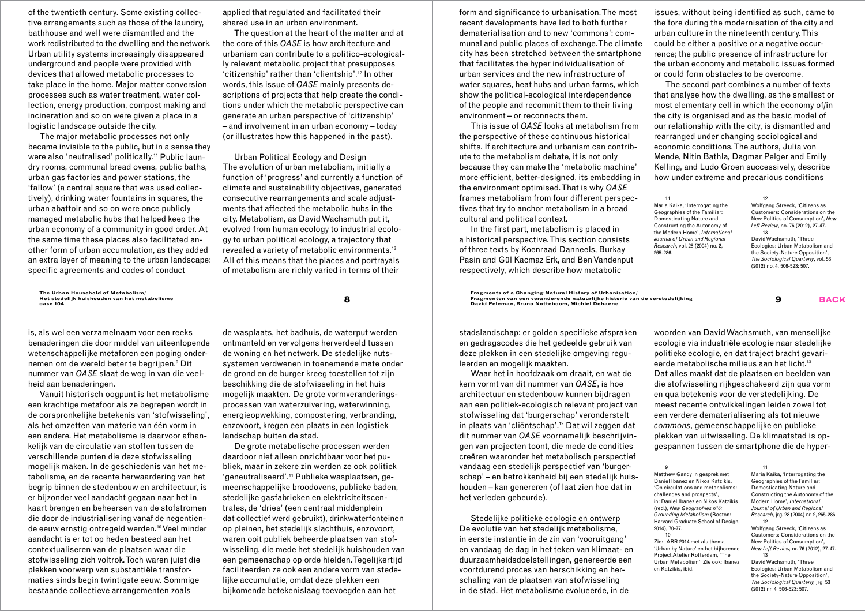of the twentieth century. Some existing collective arrangements such as those of the laundry, bathhouse and well were dismantled and the work redistributed to the dwelling and the network. Urban utility systems increasingly disappeared underground and people were provided with devices that allowed metabolic processes to take place in the home. Major matter conversion processes such as water treatment, water collection, energy production, compost making and incineration and so on were given a place in a logistic landscape outside the city.

The major metabolic processes not only became invisible to the public, but in a sense they were also 'neutralised' politically.<sup>11</sup> Public laundry rooms, communal bread ovens, public baths, urban gas factories and power stations, the 'fallow' (a central square that was used collectively), drinking water fountains in squares, the urban abattoir and so on were once publicly managed metabolic hubs that helped keep the urban economy of a community in good order. At the same time these places also facilitated another form of urban accumulation, as they added an extra layer of meaning to the urban landscape: specific agreements and codes of conduct

**The Urban Household of Metabolism/ Het stedelijk huishouden van het metabolisme**

is, als wel een verzamelnaam voor een reeks benaderingen die door middel van uiteenlopende wetenschappelijke metaforen een poging ondernemen om de wereld beter te begrijpen.<sup>9</sup> Dit nummer van *OASE* slaat de weg in van die veelheid aan benaderingen.

Vanuit historisch oogpunt is het metabolisme een krachtige metafoor als ze begrepen wordt in de oorspronkelijke betekenis van 'stofwisseling', als het omzetten van materie van één vorm in een andere. Het metabolisme is daarvoor afhankelijk van de circulatie van stoffen tussen de verschillende punten die deze stofwisseling mogelijk maken. In de geschiedenis van het metabolisme, en de recente herwaardering van het begrip binnen de stedenbouw en architectuur, is er bijzonder veel aandacht gegaan naar het in kaart brengen en beheersen van de stofstromen die door de industrialisering vanaf de negentiende eeuw ernstig ontregeld werden.10 Veel minder aandacht is er tot op heden besteed aan het contextualiseren van de plaatsen waar die stofwisseling zich voltrok. Toch waren juist die plekken voorwerp van substantiële transformaties sinds begin twintigste eeuw. Sommige bestaande collectieve arrangementen zoals

applied that regulated and facilitated their shared use in an urban environment.

The question at the heart of the matter and at the core of this *OASE* is how architecture and urbanism can contribute to a politico-ecologically relevant metabolic project that presupposes 'citizenship' rather than 'clientship'.12 In other words, this issue of *OASE* mainly presents descriptions of projects that help create the conditions under which the metabolic perspective can generate an urban perspective of 'citizenship' – and involvement in an urban economy – today (or illustrates how this happened in the past).

Urban Political Ecology and Design

The evolution of urban metabolism, initially a function of 'progress' and currently a function of climate and sustainability objectives, generated consecutive rearrangements and scale adjustments that affected the metabolic hubs in the city. Metabolism, as David Wachsmuth put it, evolved from human ecology to industrial ecology to urban political ecology, a trajectory that revealed a variety of metabolic environments.13 All of this means that the places and portrayals of metabolism are richly varied in terms of their

form and significance to urbanisation. The most recent developments have led to both further dematerialisation and to new 'commons': communal and public places of exchange. The climate city has been stretched between the smartphone that facilitates the hyper individualisation of urban services and the new infrastructure of water squares, heat hubs and urban farms, which show the political-ecological interdependence of the people and recommit them to their living environment – or reconnects them.

This issue of *OASE* looks at metabolism from the perspective of these continuous historical shifts. If architecture and urbanism can contribute to the metabolism debate, it is not only because they can make the 'metabolic machine' more efficient, better-designed, its embedding in the environment optimised. That is why *OASE* frames metabolism from four different perspectives that try to anchor metabolism in a broad cultural and political context.

In the first part, metabolism is placed in a historical perspective. This section consists of three texts by Koenraad Danneels, Burkay Pasin and Gül Kacmaz Erk, and Ben Vandenput respectively, which describe how metabolic

issues, without being identified as such, came to the fore during the modernisation of the city and urban culture in the nineteenth century. This could be either a positive or a negative occurrence; the public presence of infrastructure for the urban economy and metabolic issues formed or could form obstacles to be overcome.

The second part combines a number of texts that analyse how the dwelling, as the smallest or most elementary cell in which the economy of/in the city is organised and as the basic model of our relationship with the city, is dismantled and rearranged under changing sociological and economic conditions. The authors, Julia von Mende, Nitin Bathla, Dagmar Pelger and Emily Kelling, and Ludo Groen successively, describe how under extreme and precarious conditions

12

11 Maria Kaika, 'Interrogating the Geographies of the Familiar: Domesticating Nature and Constructing the Autonomy of the Modern Home', *International Journal of Urban and Regional Research*, vol. 28 (2004) no. 2, 265-286.

Wolfgang Streeck, 'Citizens as Customers: Considerations on the New Politics of Consumption', *New Left Review*, no. 76 (2012), 27-47. 13 David Wachsmuth, 'Three Ecologies: Urban Metabolism and the Society-Nature Opposition', *The Sociological Quarterly*, vol. 53 (2012) no. 4, 506-523: 507.

The Urban Household of Metabolism/<br> **Reception of a Changing Natural History of Urbanisation/ of Urbanisation/ and Serven veranderende natuurlijke historie van de verstedelijking and Development of the SACK<br>
Oase 104 David Peleman, Bruno Notteboom, Michiel Dehaene** 

> stadslandschap: er golden specifieke afspraken en gedragscodes die het gedeelde gebruik van deze plekken in een stedelijke omgeving reguleerden en mogelijk maakten.

> Waar het in hoofdzaak om draait, en wat de kern vormt van dit nummer van *OASE*, is hoe architectuur en stedenbouw kunnen bijdragen aan een politiek-ecologisch relevant project van stofwisseling dat 'burgerschap' veronderstelt in plaats van 'cliëntschap'.12 Dat wil zeggen dat dit nummer van *OASE* voornamelijk beschrijvingen van projecten toont, die mede de condities creëren waaronder het metabolisch perspectief vandaag een stedelijk perspectief van 'burgerschap' – en betrokkenheid bij een stedelijk huishouden – kan genereren (of laat zien hoe dat in het verleden gebeurde).

> Stedelijke politieke ecologie en ontwerp De evolutie van het stedelijk metabolisme, in eerste instantie in de zin van 'vooruitgang' en vandaag de dag in het teken van klimaat- en duurzaamheidsdoelstellingen, genereerde een voortdurend proces van herschikking en herschaling van de plaatsen van stofwisseling in de stad. Het metabolisme evolueerde, in de

woorden van David Wachsmuth, van menselijke ecologie via industriële ecologie naar stedelijke politieke ecologie, en dat traject bracht gevarieerde metabolische milieus aan het licht.<sup>13</sup> Dat alles maakt dat de plaatsen en beelden van die stofwisseling rijkgeschakeerd zijn qua vorm en qua betekenis voor de verstedelijking. De meest recente ontwikkelingen leiden zowel tot een verdere dematerialisering als tot nieuwe *commons*, gemeenschappelijke en publieke plekken van uitwisseling. De klimaatstad is opgespannen tussen de smartphone die de hyper-

11

9 Matthew Gandy in gesprek met Daniel Ibanez en Nikos Katzikis, 'On circulations and metabolisms: challenges and prospects', in: Daniel Ibanez en Nikos Katzikis (red.), *New Geographies n°6: Grounding Metabolism* (Boston: Harvard Graduate School of Design, 2014), 70-77.

 $10$ Zie: IABR 2014 met als thema 'Urban by Nature' en het bijhorende Project Atelier Rotterdam, 'The Urban Metabolism'. Zie ook: Ibanez en Katzikis, ibid.

Maria Kaika, 'Interrogating the Geographies of the Familiar: Domesticating Nature and Constructing the Autonomy of the Modern Home', *International Journal of Urban and Regional Research,* jrg. 28 (2004) nr. 2, 265-286. 12

Wolfgang Streeck, 'Citizens as Customers: Considerations on the New Politics of Consumption', *New Left Review,* nr. 76 (2012), 27-47. 13

David Wachsmuth, 'Three Ecologies: Urban Metabolism and the Society-Nature Opposition', *The Sociological Quarterly,* jrg. 53 (2012) nr. 4, 506-523: 507.

de wasplaats, het badhuis, de waterput werden ontmanteld en vervolgens herverdeeld tussen de woning en het netwerk. De stedelijke nutssystemen verdwenen in toenemende mate onder de grond en de burger kreeg toestellen tot zijn beschikking die de stofwisseling in het huis mogelijk maakten. De grote vormveranderingsprocessen van waterzuivering, waterwinning, energieopwekking, compostering, verbranding, enzovoort, kregen een plaats in een logistiek landschap buiten de stad.

De grote metabolische processen werden daardoor niet alleen onzichtbaar voor het publiek, maar in zekere zin werden ze ook politiek 'geneutraliseerd'.11 Publieke wasplaatsen, gemeenschappelijke broodovens, publieke baden, stedelijke gasfabrieken en elektriciteitscentrales, de 'dries' (een centraal middenplein dat collectief werd gebruikt), drinkwaterfonteinen op pleinen, het stedelijk slachthuis, enzovoort, waren ooit publiek beheerde plaatsen van stofwisseling, die mede het stedelijk huishouden van een gemeenschap op orde hielden. Tegelijkertijd faciliteerden ze ook een andere vorm van stedelijke accumulatie, omdat deze plekken een bijkomende betekenislaag toevoegden aan het